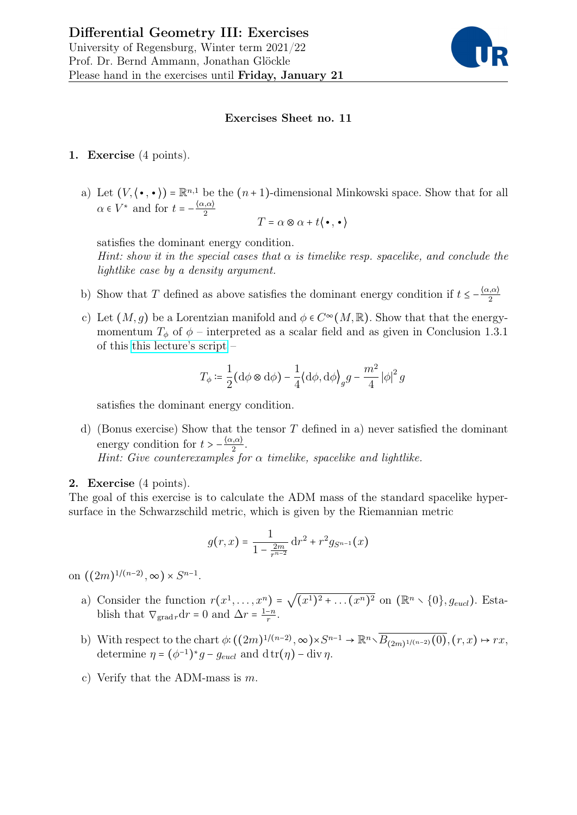

## Exercises Sheet no. 11

- 1. Exercise (4 points).
	- a) Let  $(V, \langle \bullet, \bullet \rangle) = \mathbb{R}^{n,1}$  be the  $(n+1)$ -dimensional Minkowski space. Show that for all  $\alpha \in V^*$  and for  $t = -\frac{\langle \alpha, \alpha \rangle}{2}$ 2

$$
T=\alpha\otimes\alpha+t\langle\,\!\!\!\bullet\,,\,\bullet\,\rangle
$$

satisfies the dominant energy condition.

Hint: show it in the special cases that  $\alpha$  is timelike resp. spacelike, and conclude the lightlike case by a density argument.

- b) Show that T defined as above satisfies the dominant energy condition if  $t \leq -\frac{\langle \alpha, \alpha \rangle}{2}$ 2
- c) Let  $(M, g)$  be a Lorentzian manifold and  $\phi \in C^{\infty}(M, \mathbb{R})$ . Show that that the energymomentum  $T_{\phi}$  of  $\phi$  – interpreted as a scalar field and as given in Conclusion 1.3.1 of this [this lecture's script](http://www.mathematik.uni-regensburg.de/ammann/lehre/2021w_diffgeo3/Diffgeo3.pdf) –

$$
T_{\phi} \coloneqq \frac{1}{2} \bigl(\mathrm{d}\phi \otimes \mathrm{d}\phi\bigr) - \frac{1}{4} \bigl\langle \mathrm{d}\phi, \mathrm{d}\phi \bigr\rangle_g g - \frac{m^2}{4} \left|\phi\right|^2 g
$$

satisfies the dominant energy condition.

d) (Bonus exercise) Show that the tensor  $T$  defined in a) never satisfied the dominant energy condition for  $t > -\frac{\langle \alpha, \alpha \rangle}{2}$  $\frac{\alpha}{2}$ . Hint: Give counterexamples for  $\alpha$  timelike, spacelike and lightlike.

## 2. Exercise (4 points).

The goal of this exercise is to calculate the ADM mass of the standard spacelike hypersurface in the Schwarzschild metric, which is given by the Riemannian metric

$$
g(r,x) = \frac{1}{1 - \frac{2m}{r^{n-2}}} dr^{2} + r^{2} g_{S^{n-1}}(x)
$$

on  $((2m)^{1/(n-2)}, \infty) \times S^{n-1}.$ 

- a) Consider the function  $r(x^1, \ldots, x^n)$  = √  $(x^{1})^{2} + ... (x^{n})^{2}$  on  $(\mathbb{R}^{n} \setminus \{0\}, g_{eucl})$ . Establish that  $\nabla_{\text{grad }r} dr = 0$  and  $\Delta r = \frac{1-n}{r}$  $\frac{-n}{r}$ .
- b) With respect to the chart  $\phi: ((2m)^{1/(n-2)}, \infty) \times S^{n-1} \to \mathbb{R}^n \setminus \overline{B_{(2m)^{1/(n-2)}}(0)}$ ,  $(r, x) \mapsto rx$ , determine  $\eta = (\phi^{-1})^* g - g_{eucl}$  and  $\mathrm{d} \operatorname{tr}(\eta) - \mathrm{div} \eta$ .
- c) Verify that the ADM-mass is m.